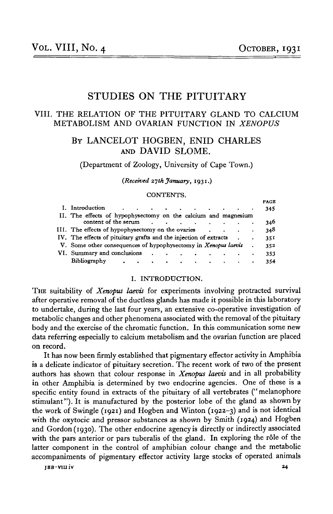**PAGE**

# STUDIES ON THE PITUITARY

## VIII. THE RELATION OF THE PITUITARY GLAND TO CALCIUM METABOLISM AND OVARIAN FUNCTION IN *XENOPUS*

## BY LANCELOT HOGBEN, ENID CHARLES AND DAVID SLOME.

(Department of Zoology, University of Cape Town.)

*(Received 27th January,* **193**1.)

#### CONTENTS.

|                                                                                                                                 |           | PAGB |
|---------------------------------------------------------------------------------------------------------------------------------|-----------|------|
| I. Introduction                                                                                                                 | $\bullet$ | 345  |
| II. The effects of hypophysectomy on the calcium and magnesium                                                                  |           |      |
| content of the serum<br>$\ddot{\phantom{0}}$<br>the contract of the contract of the                                             |           | 346  |
| III. The effects of hypophysectomy on the ovaries<br><b>Contract Contract Contract Contract</b>                                 | $\bullet$ | 348  |
| IV. The effects of pituitary grafts and the injection of extracts                                                               | $\bullet$ | 351  |
| V. Some other consequences of hypophysectomy in Xenopus laevis                                                                  |           | 352  |
| VI. Summary and conclusions<br>the contract of the contract of the contract of                                                  |           | 353  |
| Bibliography<br>the contract of the contract of the contract of the contract of the contract of the contract of the contract of |           | 354  |
|                                                                                                                                 |           |      |

#### I. INTRODUCTION.

THE suitability of *Xenopus laevis* for experiments involving protracted survival after operative removal of the ductless glands has made it possible in this laboratory to undertake, during the last four years, an extensive co-operative investigation of metabolic changes and other phenomena associated with the removal of the pituitary body and the exercise of the chromatic function. In this communication some new data referring especially to calcium metabolism and the ovarian function are placed on record.

It has now been firmly established that pigmentary effector activity in Amphibia is a delicate indicator of pituitary secretion. The recent work of two of the present authors has shown that colour response in *Xenopus laevis* and in all probability in other Amphibia is determined by two endocrine agencies. One of these is a specific entity found in extracts of the pituitary of all vertebrates (" melanophore stimulant"). It is manufactured by the posterior lobe of the gland as shown by the work of Swingle (1921) and Hogben and Winton (1922-3) and is not identical with the oxytocic and pressor substances as shown by Smith (1924) and Hogben and Gordon (1930). The other endocrine agency is directly or indirectly associated with the pars anterior or pars tuberalis of the gland. In exploring the rôle of the latter component in the control of amphibian colour change and the metabolic accompaniments of pigmentary effector activity large stocks of operated animals

**JBB-VIIliv 24**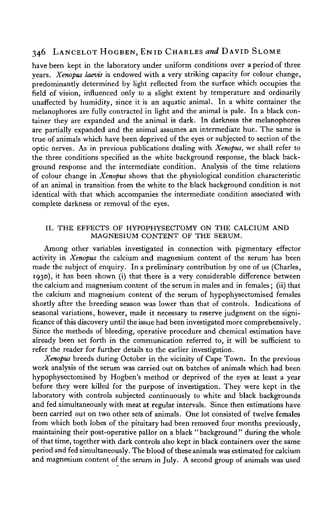have been kept in the laboratory under uniform conditions over a period of three years. *Xenopus laevis* is endowed with a very striking capacity for colour change, predominantly determined by light reflected from the surface which occupies the field of vision, influenced only to a slight extent by temperature and ordinarily unaffected by humidity, since it is an aquatic animal. In a white container the melanophores are fully contracted in light and the animal is pale. In a black container they are expanded and the animal is dark. In darkness the melanophores are partially expanded and the animal assumes an intermediate hue. The same is true of animals which have been deprived of the eyes or subjected to section of the optic nerves. As in previous publications dealing with *Xenopus,* we shall refer to the three conditions specified as the white background response, the black background response and the intermediate condition. Analysis of the time relations of colour change in *Xenopus* shows that the physiological condition characteristic of an animal in transition from the white to the black background condition is not identical with that which accompanies the intermediate condition associated with complete darkness or removal of the eyes.

#### II. THE EFFECTS OF HYPOPHYSECTOMY ON THE CALCIUM AND MAGNESIUM CONTENT OF THE SERUM.

Among other variables investigated in connection with pigmentary effector activity in *Xenopus* the calcium and magnesium content of the serum has been made the subject of enquiry. In a preliminary contribution by one of us (Charles, 1930), it has been shown (i) that there is a very considerable difference between the calcium and magnesium content of the serum in males and in females; (ii) that the calcium and magnesium content of the serum of hypophysectomised females shortly after the breeding season was lower than that of controls. Indications of seasonal variations, however, made it necessary to reserve judgment on the significance of this discovery until the issue had been investigated more comprehensively. Since the methods of bleeding, operative procedure and chemical estimation have already been set forth in the communication referred to, it will be sufficient to refer the reader for further details to the earlier investigation.

*Xenopus* breeds during October in the vicinity of Cape Town. In the previous work analysis of the serum was carried out on batches of animals which had been hypophysectomised by Hogben's method or deprived of the eyes at least a year before they were killed for the purpose of investigation. They were kept in the laboratory with controls subjected continuously to white and black backgrounds and fed simultaneously with meat at regular intervals. Since then estimations have been carried out on two other sets of animals. One lot consisted of twelve females from which both lobes of the pituitary had been removed four months previously, maintaining their post-operative pallor on a black "background" during the whole of that time, together with dark controls also kept in black containers over the same period and fed simultaneously. The blood of these animals was estimated for calcium and magnesium content of the serum in July. A second group of animals was used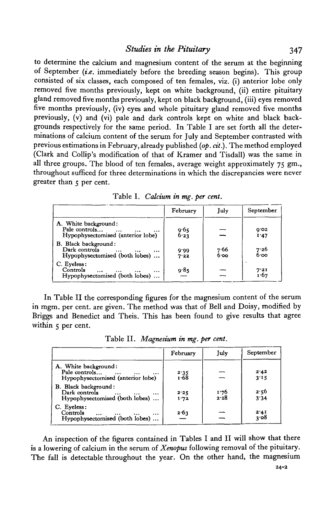to determine the calcium and magnesium content of the serum at the beginning of September *{i.e.* immediately before the breeding season begins). This group consisted of six classes, each composed of ten females, viz. (i) anterior lobe only removed five months previously, kept on white background, (ii) entire pituitary gland removed five months previously, kept on black background, (iii) eyes removed five months previously, (iv) eyes and whole pituitary gland removed five months previously, (v) and (vi) pale and dark controls kept on white and black backgrounds respectively for the same period. In Table I are set forth all the determinations of calcium content of the serum for July and September contrasted with previous estimations in February, already published *{op. cit.).* The method employed (Clark and Collip's modification of that of Kramer and Tisdall) was the same in all three groups. The blood of ten females, average weight approximately 75 gm., throughout sufficed for three determinations in which the discrepancies were never greater than 5 per cent.

|                                                                                                     | February     | July         | September    |
|-----------------------------------------------------------------------------------------------------|--------------|--------------|--------------|
| A. White background:<br>Pale controls<br>$\cdots$<br>$\cdots$<br>Hypophysectomised (anterior lobe)  | 9.65<br>6.23 |              | 0.02<br>I.47 |
| B. Black background:<br>Dark controls<br>$\cdots$<br><br>$\cdots$<br>Hypophysectomised (both lobes) | 0.00<br>7.22 | 7.66<br>6.00 | 7.26<br>6.00 |
| C. Eveless:<br>Controls<br>$\cdots$<br>$\cdots$<br>Hypophysectomised (both lobes)                   | 9.85         |              | 7.21<br>1.67 |

| Table I. Calcium in mg. per cent. |  |  |
|-----------------------------------|--|--|
|                                   |  |  |

In Table II the corresponding figures for the magnesium content of the serum in mgm. per cent, are given. The method was that of Bell and Doisy, modified by Briggs and Benedict and Theis. This has been found to give results that agree within 5 per cent.

|                                                                                            | February       | July         | September    |
|--------------------------------------------------------------------------------------------|----------------|--------------|--------------|
| A. White background:<br>Pale controls<br>$\cdots$<br>Hypophysectomised (anterior lobe)     | $2.35$<br>1.68 |              | 2.42<br>3.15 |
| <b>B.</b> Black background:<br>Dark controls<br>$\cdots$<br>Hypophysectomised (both lobes) | 2.25<br>1.72   | 1.76<br>2.28 | 2.56<br>3'34 |
| C. Eyeless:<br>Controls<br>Hypophysectomised (both lobes)                                  | 2.63           |              | 2.41<br>3.08 |

Table II. *Magnesium in mg. per cent.*

An inspection of the figures contained in Tables I and II will show that there is a lowering of calcium in the serum of *Xenopus* following removal of the pituitary. The fall is detectable throughout the year. On the other hand, the magnesium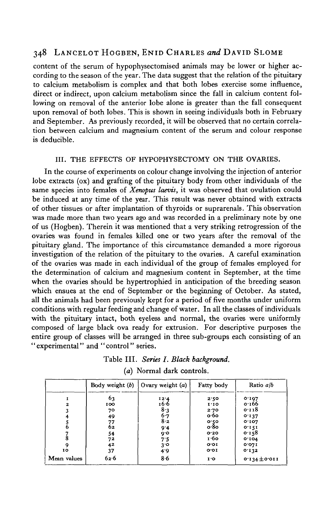content of the serum of hypophysectomised animals may be lower or higher according to the season of the year. The data suggest that the relation of the pituitary to calcium metabolism is complex and that both lobes exercise some influence, direct or indirect, upon calcium metabolism since the fall in calcium content following on removal of the anterior lobe alone is greater than the fall consequent upon removal of both lobes. This is shown in seeing individuals both in February and September. As previously recorded, it will be observed that no certain correlation between calcium and magnesium content of the serum and colour response is deducible.

## III. THE EFFECTS OF HYPOPHYSECTOMY ON THE OVARIES.

In the course of experiments on colour change involving the injection of anterior lobe extracts (ox) and grafting of the pituitary body from other individuals of the same species into females of *Xenopus laevis,* it was observed that ovulation could be induced at any time of the year. This result was never obtained with extracts of other tissues or after implantation of thyroids or suprarenals. This observation was made more than two years ago and was recorded in a preliminary note by one of us (Hogben). Therein it was mentioned that a very striking retrogression of the ovaries was found in females killed one or two years after the removal of the pituitary gland. The importance of this circumstance demanded a more rigorous investigation of the relation of the pituitary to the ovaries. A careful examination of the ovaries was made in each individual of the group of females employed for the determination of calcium and magnesium content in September, at the time when the ovaries should be hypertrophied in anticipation of the breeding season which ensues at the end of September or the beginning of October. As stated, all the animals had been previously kept for a period of five months under uniform conditions with regular feeding and change of water. In all the classes of individuals with the pituitary intact, both eyeless and normal, the ovaries were uniformly composed of large black ova ready for extrusion. For descriptive purposes the entire group of classes will be arranged in three sub-groups each consisting of an "experimental" and "control" series.

| Table III. Series I. Black background. |  |
|----------------------------------------|--|
| (a) Normal dark controls.              |  |

|              | Body weight (b) | $\int$ Ovary weight $(a)$ | Fatty body                    | Ratio a/b         |
|--------------|-----------------|---------------------------|-------------------------------|-------------------|
|              | 63              | 12.4                      | 2.50                          | 0.107             |
| $\mathbf{z}$ | 100             | 16.6                      | 1.10                          | 0.166             |
|              | 70              | $\frac{8}{6}$ . 3         | 2.70                          | 0.118             |
|              | 49              |                           | $o.6$ o                       | 0.137             |
|              |                 | $8-2$                     |                               | 0'107             |
|              | $^{77}_{62}$    | 9.4                       | o.50<br>0.80                  | 0.151             |
|              | 54              | 0.6                       | 0.20                          | 0.158             |
|              | 72              | 7.5                       | 1.60                          | 0.104             |
| 9            | 42              | 3°                        | O O I                         | 0.071             |
| 10           | 37              | 4.9                       | O O I                         | 0.132             |
| Mean values  | 62.6            | 86                        | $\mathbf{I} \cdot \mathbf{O}$ | $0.134 \pm 0.011$ |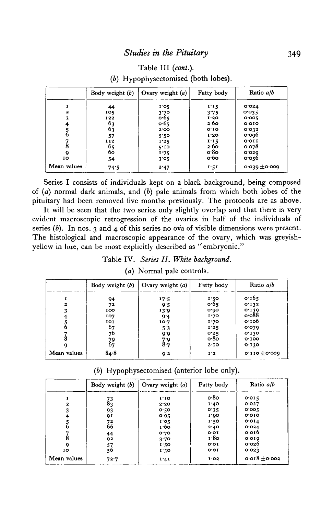## Table III *(cont.).*

*(b)* Hypophysectomised (both lobes).

|              | Body weight $(b)$ | Ovary weight $(a)$ | Fatty body | Ratio a/b    |
|--------------|-------------------|--------------------|------------|--------------|
|              | 44                | 1.05               | 1:15       | 0.024        |
| $\mathbf{z}$ | 105               | 3.70               | 3.75       | 0.035        |
| 3            | 122               | 0.65               | 1'20       | 0.005        |
| 4            | 63                | 0.65               | 2.60       | 0.010        |
|              | 63                | 2.00               | 0.10       | 0.032        |
| 6            | 57                | 5.50               | 1.20       | $o$ og $6$   |
|              | 112               | 1.25               | 1.15       | O'OII        |
| 8            | 65<br>60          | 5'10               | 2.60       | 0.078        |
| 9            |                   | 1.75               | o 8o       | 0.020        |
| 10           | 54                | 3.05               | o·6o       | 0.056        |
| Mean values  | 74.5              | 2.47               | 1.51       | 0.039 ±0.009 |

Series I consists of individuals kept on a black background, being composed of *(a)* normal dark animals, and *(b)* pale animals from which both lobes of the pituitary had been removed five months previously. The protocols are as above.

It will be seen that the two series only slightly overlap and that there is very evident macroscopic retrogression of the ovaries in half of the individuals of series  $(b)$ . In nos. 3 and 4 of this series no ova of visible dimensions were present. The histological and macroscopic appearance of the ovary, which was greyishyellow in hue, can be most explicitly described as "embryonic."

## Table IV. *Series II. White background,*

*(a)* Normal pale controls.

|             | Body weight (b) | Ovary weight $(a)$ | Fatty body | Ratio a/b          |
|-------------|-----------------|--------------------|------------|--------------------|
|             | 94              | 17.5               | 1.50       | 0.165              |
| 2           | 72              | 9.5                | 0.65       | 0.132              |
| 3           | 100             | 13.9               | 0.00       |                    |
|             | 107             | 9.4                | 1.70       | $0.139$<br>$0.088$ |
|             | 101             | 10.7               | 1.70       | 0.100              |
| n           | 67              | 5.3                | 1.25       | 0.079              |
|             | 76              | 9.6                | 0.25       | 0.130              |
|             | 79              | 7.9                | o.8o       | 0.100              |
|             | 67              | 8.7                | 2'10       | 0.130              |
| Mean values | 84.8            | 9.2                | I'2        | $0.110 + 0.000$    |

*(b)* Hypophysectomised (anterior lobe only).

|              | Body weight (b)                                 | Ovary weight $(a)$ | Fatty body | Ratio a/b         |
|--------------|-------------------------------------------------|--------------------|------------|-------------------|
|              |                                                 | 1.10               | o.8o       | 0.015             |
| $\mathbf{z}$ | $\begin{smallmatrix} 73 \ 83 \end{smallmatrix}$ | 2.20               | 1.40       | 0.027             |
| 3            | 93                                              | 0.50               | 0.35       | 0.005             |
| 4            | 91                                              | 0.95               | 1.00       | 0.010             |
|              |                                                 | 1.05               | 1.50       | O O I 4           |
| 6            | 72<br>66                                        | 1.60               | 2.40       | 0.024             |
|              | 44                                              | 0.70               | 0.01       | $o$ or $b$        |
| 8            | 92                                              | 3.70               | 1.80       | 0.010             |
| 9            |                                                 | 1.50               | O O I      | $o$ 026           |
| 10           | 57<br>56                                        | 1.30               | o.or       | 0.023             |
| Mean values  | 72.7                                            | 1.41               | I.02       | $0.018 \pm 0.002$ |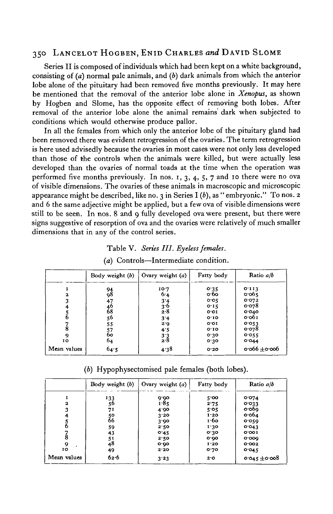Series II is composed of individuals which had been kept on a white background, consisting of (a) normal pale animals, and *(b)* dark animals from which the anterior lobe alone of the pituitary had been removed five months previously. It may here be mentioned that the removal of the anterior lobe alone in *Xenopus,* as shown by Hogben and Slome, has the opposite effect of removing both lobes. After removal of the anterior lobe alone the animal remains dark when subjected to conditions which would otherwise produce pallor.

In all the females from which only the anterior lobe of the pituitary gland had been removed there was evident retrogression of the ovaries. The term retrogression is here used advisedly because the ovaries in most cases were not only less developed than those of the controls when the animals were killed, but were actually less developed than the ovaries of normal toads at the time when the operation was performed five months previously. In nos. 1, 3, 4, 5, 7 and 10 there were no ova of visible dimensions. The ovaries of these animals in macroscopic and microscopic appearance might be described, like no. 3 in Series I *(b),* as " embryonic." To nos. 2 and 6 the same adjective might be applied, but a few ova of visible dimensions were still to be seen. In nos. 8 and 9 fully developed ova were present, but there were signs suggestive of resorption of ova and the ovaries were relatively of much smaller dimensions that in any of the control series.

## Table V. *Series III. Eyeless females.*

|             | Body weight (b) | Ovary weight $(a)$            | Fatty body | Ratio a/b         |
|-------------|-----------------|-------------------------------|------------|-------------------|
|             | 94<br>98        | 10.7                          | 0.35       | 0.113             |
| 2           |                 | 6.4                           | $\circ$ 60 | 0.065             |
|             | 47              | 3'4                           | 0.05       | 0.072             |
|             |                 | 3.6                           | 0.15       | 0.078             |
|             | 46<br>68        | 2.8                           | O O I      | 0.040             |
|             | 56<br>55        | 3'4                           | O:IO       | 0.001             |
|             |                 | 2.0                           | 0.01       | 0.053             |
| 8           |                 | 4.5                           | $O^T$ IO   | 0.078             |
| 9           | 57<br>60        | $\frac{3}{2}$ . $\frac{3}{8}$ | 0.30       | 0.055             |
| 10          | 64              |                               | 0.30       | 0.044             |
| Mean values | 64.5            | 4.38                          | O.2O       | $0.066 \pm 0.006$ |

#### *(a)* Controls—Intermediate condition.

*(b)* Hypophysectomised pale females (both lobes).

|              | Body weight (b) | Ovary weight $(a)$ | Fatty body | Ratio a/b         |
|--------------|-----------------|--------------------|------------|-------------------|
|              | 133             |                    | 5'         | 0.074             |
| $\mathbf{z}$ | 56              | $9.90$<br>$1.85$   | 2.75       | 0.033             |
|              | 71              | 4.90               | 5.05       | o o 60            |
| 4            |                 | 3.20               | 1.20       | $o$ -0 $64$       |
|              | 50<br>66        | 3.00               | 1.60       | 0.059             |
|              | 59              | 2.50               | 1.30       | 0.043             |
|              | 43              | 0.45               | 0.30       | 0.001             |
| 8            |                 | 2.50               | 0.00       | 0.000             |
| 9            | $\frac{51}{48}$ | o.oo               | I.20       | 0.002             |
| IO           | 49              | 2.20               | 0.70       | 0.045             |
| Mean values  | 62.6            | 3.23               | 2.0        | $0.045 \pm 0.008$ |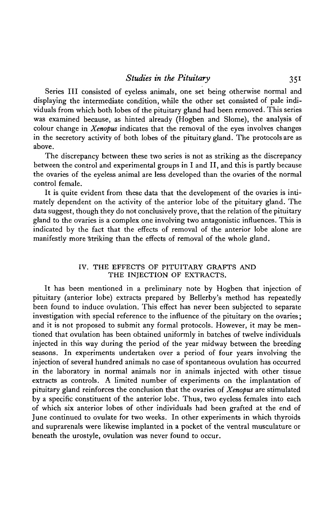Series III consisted of eyeless animals, one set being otherwise normal and displaying the intermediate condition, while the other set consisted of pale individuals from which both lobes of the pituitary gland had been removed. This series was examined because, as hinted already (Hogben and Slome), the analysis of colour change in *Xenopus* indicates that the removal of the eyes involves changes in the secretory activity of both lobes of the pituitary gland. The protocols are as above.

The discrepancy between these two series is not as striking as the discrepancy between the control and experimental groups in I and II, and this is partly because the ovaries of the eyeless animal are less developed than the ovaries of the normal control female.

It is quite evident from these data that the development of the ovaries is intimately dependent on the activity of the anterior lobe of the pituitary gland. The data suggest, though they do not conclusively prove, that the relation of the pituitary gland to the ovaries is a complex one involving two antagonistic influences. This is indicated by the fact that the effects of removal of the anterior lobe alone are manifestly more'striking than the effects of removal of the whole gland.

## IV. THE EFFECTS OF PITUITARY GRAFTS AND THE INJECTION OF EXTRACTS.

It has been mentioned in a preliminary note by Hogben that injection of pituitary (anterior lobe) extracts prepared by Bellerby's method has repeatedly been found to induce ovulation. This effect has never been subjected to separate investigation with special reference to the influence of the pituitary on the ovaries; and it is not proposed to submit any formal protocols. However, it may be mentioned that ovulation has been obtained uniformly in batches of twelve individuals injected in this way during the period of the year midway between the breeding seasons. In experiments undertaken over a period of four years involving the injection of several hundred animals no case of spontaneous ovulation has occurred in the laboratory in normal animals nor in animals injected with other tissue extracts as controls. A limited number of experiments on the implantation of pituitary gland reinforces the conclusion that the ovaries of *Xenopus* are stimulated by a specific constituent of the anterior lobe. Thus, two eyeless females into each of which six anterior lobes of other individuals had been grafted at the end of June continued to ovulate for two weeks. In other experiments in which thyroids and suprarenals were likewise implanted in a pocket of the ventral musculature or beneath the urostyle, ovulation was never found to occur.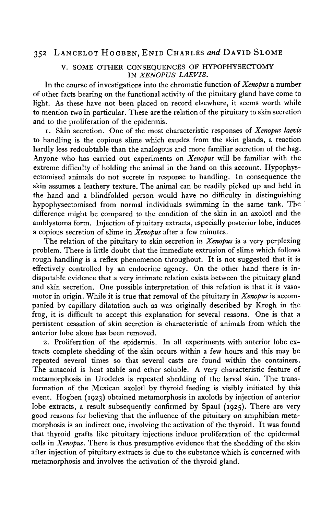#### V. SOME OTHER CONSEQUENCES OF HYPOPHYSECTOMY IN *XENOPUS LAEVIS.*

In the course of investigations into the chromatic function of *Xenopus* a number of other facts bearing on the functional activity of the pituitary gland have come to light. As these have not been placed on record elsewhere, it seems worth while to mention two in particular. These are the relation of the pituitary to skin secretion and to the proliferation of the epidermis.

i. Skin secretion. One of the most characteristic responses of *Xenopus laevis* to handling is the copious slime which exudes from the skin glands, a reaction hardly less redoubtable than the analogous and more familiar secretion of the hag. Anyone who has carried out experiments on *Xenopus* will be familiar with the extreme difficulty of holding the animal in the hand on this account. Hypophysectomised animals do not secrete in response to handling. In consequence the skin assumes a leathery texture. The animal can be readily picked up and held in the hand and a blindfolded person would have no difficulty in distinguishing hypophysectomised from normal individuals swimming in the same tank. The difference might be compared to the condition of the skin in an axolotl and the amblystoma form. Injection of pituitary extracts, especially posterior lobe, induces a copious secretion of slime in *Xenopus* after a few minutes.

The relation of the pituitary to skin secretion in *Xenopus* is a very perplexing problem. There is little doubt that the immediate extrusion of slime which follows rough handling is a reflex phenomenon throughout. It is not suggested that it is effectively controlled by an endocrine agency. On the other hand there is indisputable evidence that a very intimate relation exists between the pituitary gland and skin secretion. One possible interpretation of this relation is that it is vasomotor in origin. While it is true that removal of the pituitary in *Xenopus* is accompanied by capillary dilatation such as was originally described by Krogh in the frog, it is difficult to accept this explanation for several reasons. One is that a persistent cessation of skin secretion is characteristic of animals from which the anterior lobe alone has been removed.

2. Proliferation of the epidermis. In all experiments with anterior lobe extracts complete shedding of the skin occurs within a few hours and this may be repeated several times so that several casts are found within the containers. The autacoid is heat stable and ether soluble. A very characteristic feature of metamorphosis in Urodeles is repeated shedding of the larval skin. The transformation of the Mexican axolotl by thyroid feeding is visibly initiated by this event. Hogben (1923) obtained metamorphosis in axolotls by injection of anterior lobe extracts, a result subsequently confirmed by Spaul (1925). There are very good reasons for believing that the influence of the pituitary on amphibian metamorphosis is an indirect one, involving the activation of the thyroid. It was found that thyroid grafts like pituitary injections induce proliferation of the epidermal cells in *Xenopus.* There is thus presumptive evidence that the shedding of the skin after injection of pituitary extracts is due to the substance which is concerned with metamorphosis and involves the activation of the thyroid gland.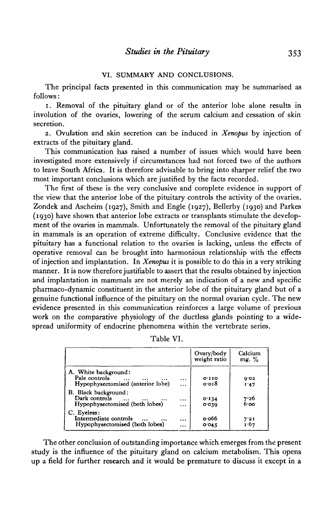## VI. SUMMARY AND CONCLUSIONS.

The principal facts presented in this communication may be summarised as follows:

1. Removal of the pituitary gland or of the anterior lobe alone results in involution of the ovaries, lowering of the serum calcium and cessation of skin secretion.

2. Ovulation and skin secretion can be induced in *Xenopus* by injection of extracts of the pituitary gland.

This communication has raised a number of issues which would have been investigated more extensively if circumstances had not forced two of the authors to leave South Africa. It is therefore advisable to bring into sharper relief the two most important conclusions which are justified by the facts recorded.

The first of these is the very conclusive and complete evidence in support of the view that the anterior lobe of the pituitary controls the activity of the ovaries. Zondek and Ascheim (1927), Smith and Engle (1927), Bellerby (1930) and Parkes (1930) have shown that anterior lobe extracts or transplants stimulate the development of the ovaries in mammals. Unfortunately the removal of the pituitary gland in mammals is an operation of extreme difficulty. Conclusive evidence that the pituitary has a functional relation to the ovaries is lacking, unless the effects of operative removal can be brought into harmonious relationship with the effects of injection and implantation. In *Xenopus* it is possible to do this in a very striking manner. It is now therefore justifiable to assert that the results obtained by injection and implantation in mammals are not merely an indication of a new and specific pharmaco-dynamic constituent in the anterior lobe of the pituitary gland but of a genuine functional influence of the pituitary on the normal ovarian cycle. The new evidence presented in this communication reinforces a large volume of previous work on the comparative physiology of the ductless glands pointing to a widespread uniformity of endocrine phenomena within the vertebrate series.

|  | Table VI. |
|--|-----------|
|  |           |

|                                                                            |                        | Ovary/body<br>weight ratio | Calcium<br>mg. $\%$ |
|----------------------------------------------------------------------------|------------------------|----------------------------|---------------------|
| A. White background:<br>Pale controls<br>Hypophysectomised (anterior lobe) | $\cdots$<br>           | O'IIO<br>0.018             | 0.03<br>1.47        |
| B. Black background:<br>Dark controls<br>Hypophysectomised (both lobes)    | $\ddotsc$<br>$\ddotsc$ | 0.134<br>0.039             | 7.26<br>6.00        |
| C. Eyeless:<br>Intermediate controls<br>Hypophysectomised (both lobes)     | $\ddotsc$<br>          | o·o66<br>0.045             | 7.21<br>1.67        |

The other conclusion of outstanding importance which emerges from the present study is the influence of the pituitary gland on calcium metabolism. This opens up a field for further research and it would be premature to discuss it except in a